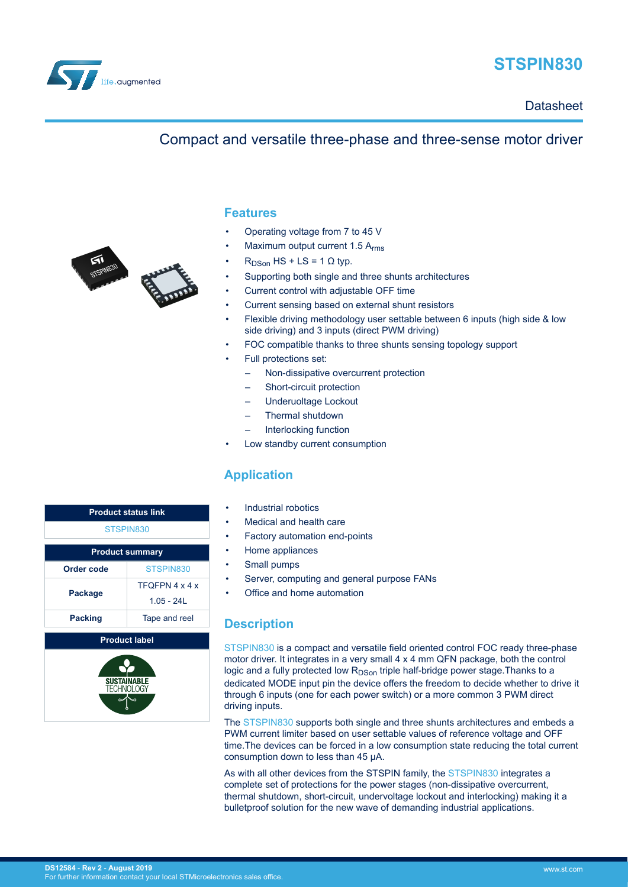

# **STSPIN830**

**Datasheet** 

# Compact and versatile three-phase and three-sense motor driver



- Operating voltage from 7 to 45 V
- Maximum output current 1.5 Arms
- $R_{DSon}$  HS + LS = 1  $\Omega$  typ.
- Supporting both single and three shunts architectures
- Current control with adjustable OFF time
- Current sensing based on external shunt resistors
- Flexible driving methodology user settable between 6 inputs (high side & low side driving) and 3 inputs (direct PWM driving)
- FOC compatible thanks to three shunts sensing topology support
- Full protections set:
	- Non-dissipative overcurrent protection
	- Short-circuit protection
	- Underuoltage Lockout
	- Thermal shutdown
	- Interlocking function
- Low standby current consumption

## **Application**

- Industrial robotics
- Medical and health care
- Factory automation end-points
- Home appliances
- Small pumps
- Server, computing and general purpose FANs
- Office and home automation

## **Description**

[STSPIN830](https://www.st.com/en/product/stspin830) is a compact and versatile field oriented control FOC ready three-phase motor driver. It integrates in a very small 4 x 4 mm QFN package, both the control logic and a fully protected low R<sub>DSon</sub> triple half-bridge power stage. Thanks to a dedicated MODE input pin the device offers the freedom to decide whether to drive it through 6 inputs (one for each power switch) or a more common 3 PWM direct driving inputs.

The [STSPIN830](https://www.st.com/en/product/stspin830) supports both single and three shunts architectures and embeds a PWM current limiter based on user settable values of reference voltage and OFF time.The devices can be forced in a low consumption state reducing the total current consumption down to less than 45 μA.

As with all other devices from the STSPIN family, the [STSPIN830](https://www.st.com/en/product/stspin830) integrates a complete set of protections for the power stages (non-dissipative overcurrent, thermal shutdown, short-circuit, undervoltage lockout and interlocking) making it a bulletproof solution for the new wave of demanding industrial applications.

| <b>Product status link</b>      |                |  |  |  |  |
|---------------------------------|----------------|--|--|--|--|
| STSPIN830                       |                |  |  |  |  |
| <b>Product summary</b>          |                |  |  |  |  |
| STSPIN830<br>Order code         |                |  |  |  |  |
| Package                         | TFOFPN 4 x 4 x |  |  |  |  |
|                                 | $105 - 241$    |  |  |  |  |
| <b>Packing</b><br>Tape and reel |                |  |  |  |  |
| <b>Product label</b>            |                |  |  |  |  |

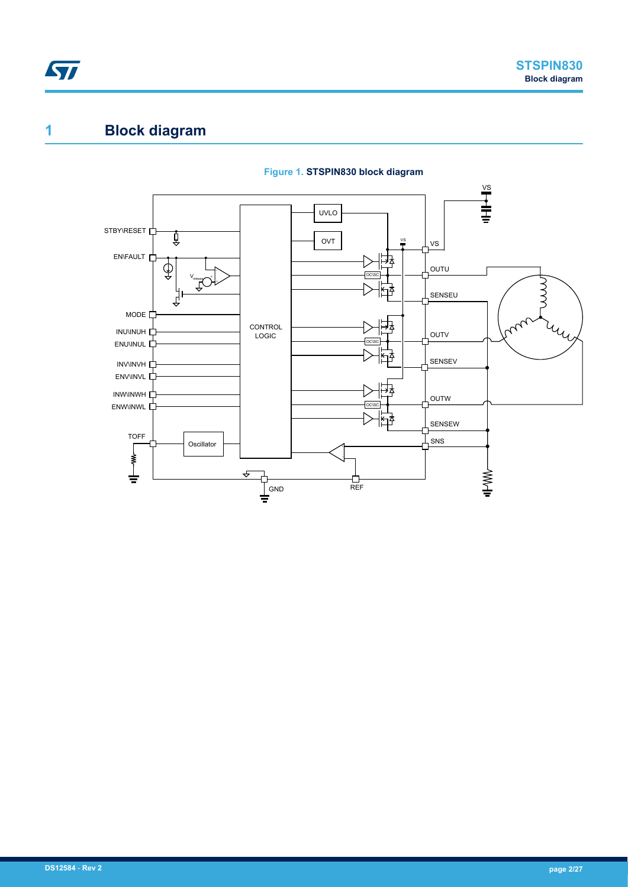<span id="page-1-0"></span>

# **1 Block diagram**



#### **Figure 1. STSPIN830 block diagram**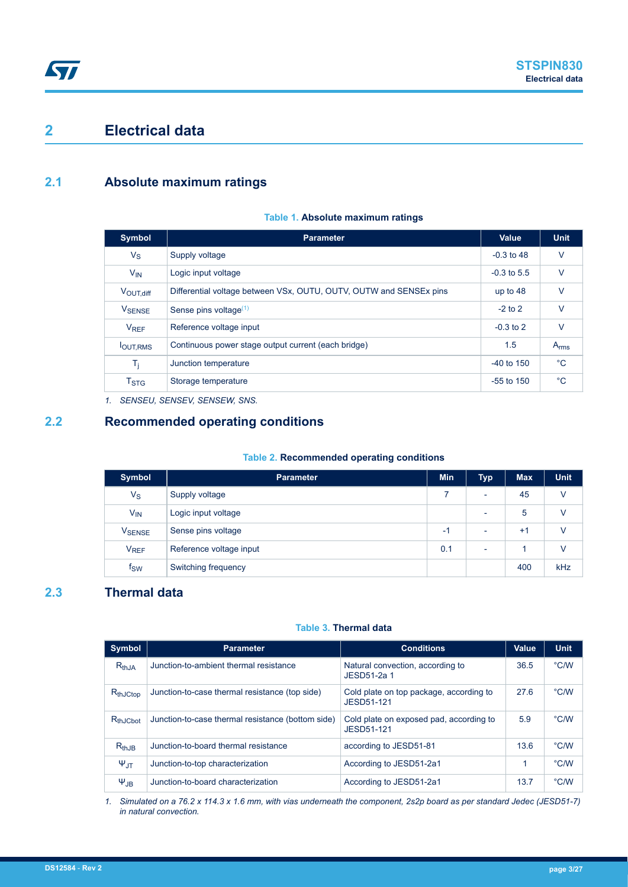# <span id="page-2-0"></span>**2 Electrical data**

### **2.1 Absolute maximum ratings**

#### **Table 1. Absolute maximum ratings**

| <b>Symbol</b>                | <b>Parameter</b>                                                   | <b>Value</b>   | <b>Unit</b> |
|------------------------------|--------------------------------------------------------------------|----------------|-------------|
| $V_S$                        | Supply voltage                                                     | $-0.3$ to 48   | $\vee$      |
| $V_{IN}$                     | Logic input voltage                                                | $-0.3$ to 5.5  | $\vee$      |
| $V_{\text{OUT},\text{diff}}$ | Differential voltage between VSx, OUTU, OUTV, OUTW and SENSEx pins | up to $48$     | $\vee$      |
| <b>V</b> SENSE               | Sense pins voltage $(1)$                                           | $-2$ to 2      | $\vee$      |
| <b>V<sub>REF</sub></b>       | Reference voltage input                                            | $-0.3$ to 2    | V           |
| <b>JOUT.RMS</b>              | Continuous power stage output current (each bridge)                | 1.5            | $A_{rms}$   |
| T <sub>i</sub>               | Junction temperature                                               | $-40$ to $150$ | $^{\circ}C$ |
| $T_{\mathrm{STG}}$           | Storage temperature                                                | $-55$ to 150   | $^{\circ}C$ |

*1. SENSEU, SENSEV, SENSEW, SNS.*

#### **2.2 Recommended operating conditions**

#### **Table 2. Recommended operating conditions**

| <b>Symbol</b>          | <b>Parameter</b>        | <b>Min</b> | <b>Typ</b>               | <b>Max</b> | <b>Unit</b> |
|------------------------|-------------------------|------------|--------------------------|------------|-------------|
| $V_{\rm S}$            | Supply voltage          |            | $\overline{\phantom{0}}$ | 45         | $\vee$      |
| $V_{IN}$               | Logic input voltage     |            | $\overline{\phantom{0}}$ | 5          | v           |
| V <sub>SENSE</sub>     | Sense pins voltage      | $-1$       | $\overline{\phantom{0}}$ | $+1$       | $\vee$      |
| <b>V<sub>REF</sub></b> | Reference voltage input | 0.1        | $\overline{\phantom{0}}$ |            | $\vee$      |
| $f_{\mathsf{SW}}$      | Switching frequency     |            |                          | 400        | kHz         |

### **2.3 Thermal data**

#### **Table 3. Thermal data**

| <b>Symbol</b>      | <b>Parameter</b>                                  | <b>Conditions</b>                                     | <b>Value</b> | <b>Unit</b>   |
|--------------------|---------------------------------------------------|-------------------------------------------------------|--------------|---------------|
| $R_{th,JA}$        | Junction-to-ambient thermal resistance            | Natural convection, according to<br>JESD51-2a 1       | 36.5         | °C/W          |
| $R_{thJCtop}$      | Junction-to-case thermal resistance (top side)    | Cold plate on top package, according to<br>JESD51-121 | 27.6         | °C/W          |
| $R_{thJCbot}$      | Junction-to-case thermal resistance (bottom side) | Cold plate on exposed pad, according to<br>JESD51-121 | 5.9          | °C/W          |
| $R_{th,JB}$        | Junction-to-board thermal resistance              | according to JESD51-81                                | 13.6         | °C/W          |
| $\Psi_{\text{JT}}$ | Junction-to-top characterization                  | According to JESD51-2a1                               | 1            | °C/W          |
| $\Psi_{JB}$        | Junction-to-board characterization                | According to JESD51-2a1                               | 13.7         | $\degree$ C/W |

*1. Simulated on a 76.2 x 114.3 x 1.6 mm, with vias underneath the component, 2s2p board as per standard Jedec (JESD51-7) in natural convection.*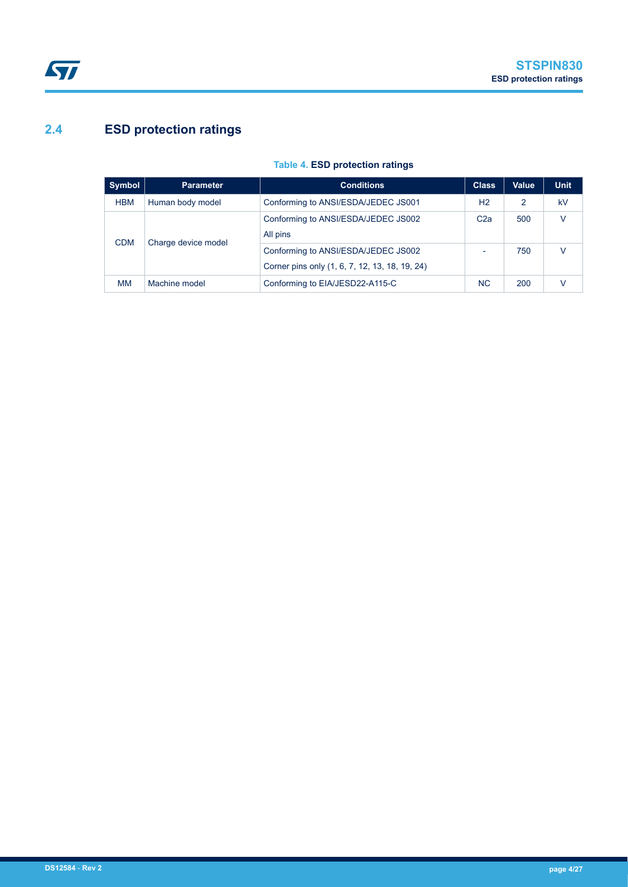# <span id="page-3-0"></span>**2.4 ESD protection ratings**

| <b>Symbol</b>                                 | <b>Parameter</b> | <b>Conditions</b>                                                                     | <b>Class</b>    | Value | <b>Unit</b> |
|-----------------------------------------------|------------------|---------------------------------------------------------------------------------------|-----------------|-------|-------------|
| <b>HBM</b>                                    | Human body model | Conforming to ANSI/ESDA/JEDEC JS001                                                   | H2              | 2     | kV          |
| All pins<br>Charge device model<br><b>CDM</b> |                  | Conforming to ANSI/ESDA/JEDEC JS002                                                   | C <sub>2a</sub> | 500   | v           |
|                                               |                  | Conforming to ANSI/ESDA/JEDEC JS002<br>Corner pins only (1, 6, 7, 12, 13, 18, 19, 24) |                 | 750   | V           |
| <b>MM</b>                                     | Machine model    | Conforming to EIA/JESD22-A115-C                                                       | <b>NC</b>       | 200   |             |

#### **Table 4. ESD protection ratings**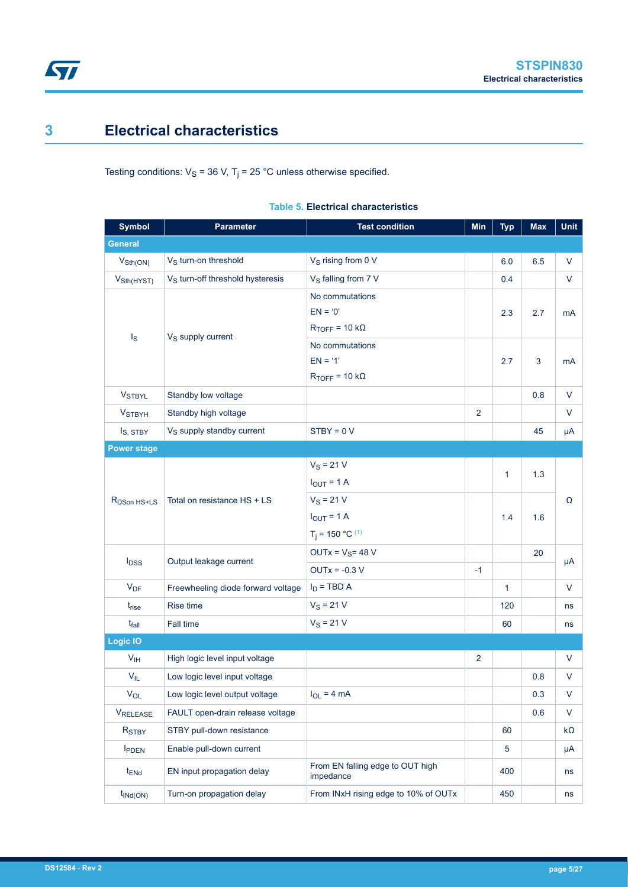# <span id="page-4-0"></span>**3 Electrical characteristics**

Testing conditions:  $V_S$  = 36 V, T<sub>j</sub> = 25 °C unless otherwise specified.

| <b>Symbol</b>               | <b>Parameter</b>                             | <b>Test condition</b>                         | <b>Min</b>     | <b>Typ</b>   | <b>Max</b> | Unit         |
|-----------------------------|----------------------------------------------|-----------------------------------------------|----------------|--------------|------------|--------------|
| <b>General</b>              |                                              |                                               |                |              |            |              |
| $V_{\text{Sth}(\text{ON})}$ | V <sub>S</sub> turn-on threshold             | V <sub>S</sub> rising from 0 V                |                | 6.0          | 6.5        | V            |
| V <sub>Sth</sub> (HYST)     | V <sub>S</sub> turn-off threshold hysteresis | V <sub>S</sub> falling from 7 V               |                | 0.4          |            | $\vee$       |
|                             |                                              | No commutations                               |                |              |            |              |
|                             |                                              | $EN = '0'$                                    |                | 2.3          | 2.7        | mA           |
| $\mathsf{I}_\mathsf{S}$     | V <sub>S</sub> supply current                | $R_{TOFF}$ = 10 k $\Omega$                    |                |              |            |              |
|                             |                                              | No commutations                               |                |              |            |              |
|                             |                                              |                                               | 2.7            | 3            | mA         |              |
|                             |                                              | $R_{TOFF}$ = 10 k $\Omega$                    |                |              |            |              |
| <b>VSTBYL</b>               | Standby low voltage                          |                                               |                |              | 0.8        | $\vee$       |
| <b>VSTBYH</b>               | Standby high voltage                         |                                               | $\overline{2}$ |              |            | V            |
| I <sub>S</sub> , STBY       | V <sub>S</sub> supply standby current        | $STBY = 0 V$                                  |                |              | 45         | μA           |
| <b>Power stage</b>          |                                              |                                               |                |              |            |              |
|                             | Total on resistance HS + LS                  | $V_S = 21 V$                                  |                | $\mathbf{1}$ |            |              |
|                             |                                              | $I_{OUT} = 1 A$                               |                |              | 1.3        |              |
| R <sub>DSon HS+LS</sub>     |                                              | $V_S = 21 V$                                  |                |              |            | Ω            |
|                             |                                              | $I_{OUT} = 1 A$                               |                | 1.4          | 1.6        |              |
|                             |                                              | $T_i = 150 °C^{(1)}$                          |                |              |            |              |
|                             |                                              | $OUTx = VS = 48 V$                            |                |              | 20         |              |
| $I_{DSS}$                   | Output leakage current                       | $OUTx = -0.3 V$                               | $-1$           |              |            | μA           |
| $V_{DF}$                    | Freewheeling diode forward voltage           | $I_D$ = TBD A                                 |                | $\mathbf{1}$ |            | V            |
| t <sub>rise</sub>           | Rise time                                    | $V_S = 21 V$                                  |                | 120          |            | ns           |
| $t_{fall}$                  | Fall time                                    | $V_S = 21 V$                                  |                | 60           |            | ns           |
| <b>Logic IO</b>             |                                              |                                               |                |              |            |              |
| V <sub>IH</sub>             | High logic level input voltage               |                                               | $\overline{2}$ |              |            | V            |
| $V_{IL}$                    | Low logic level input voltage                |                                               |                |              | 0.8        | V            |
| $V_{OL}$                    | Low logic level output voltage               | $I_{OL}$ = 4 mA                               |                |              | 0.3        | $\mathsf{V}$ |
| <b>VRELEASE</b>             | FAULT open-drain release voltage             |                                               |                |              | 0.6        | $\vee$       |
| R <sub>STBY</sub>           | STBY pull-down resistance                    |                                               |                | 60           |            | kΩ           |
| <b>IPDEN</b>                | Enable pull-down current                     |                                               |                | 5            |            | μA           |
| $t_{\text{ENd}}$            | EN input propagation delay                   | From EN falling edge to OUT high<br>impedance |                | 400          |            | ns           |
| $t_{\text{INd}(\text{ON})}$ | Turn-on propagation delay                    | From INxH rising edge to 10% of OUTx          |                |              |            | ns           |

#### **Table 5. Electrical characteristics**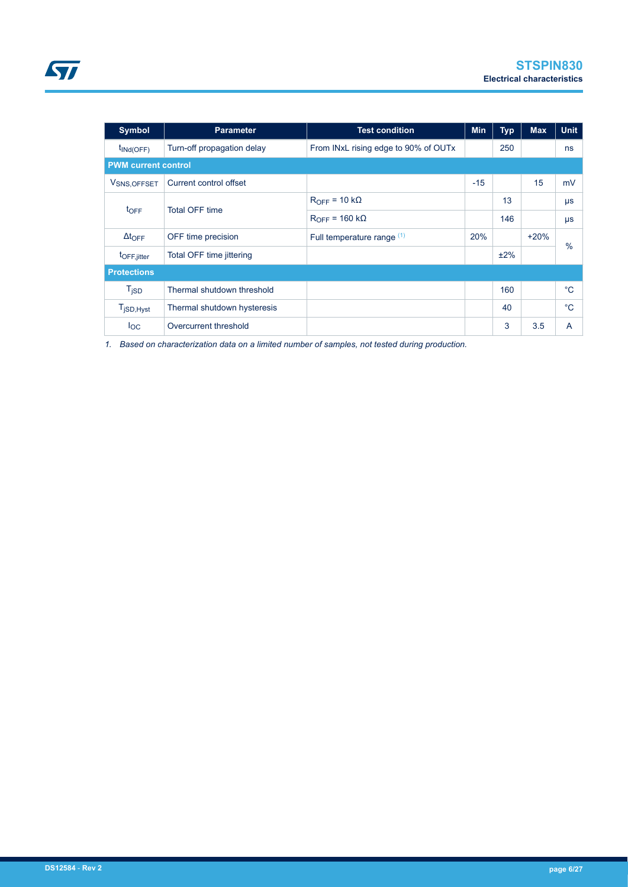<span id="page-5-0"></span>

| <b>Symbol</b>                    | <b>Parameter</b><br><b>Test condition</b> |                                      | Min   | <b>Typ</b> | <b>Max</b> | <b>Unit</b> |
|----------------------------------|-------------------------------------------|--------------------------------------|-------|------------|------------|-------------|
| $t_{\text{INd(OFF)}}$            | Turn-off propagation delay                | From INxL rising edge to 90% of OUTx |       | 250        |            | ns          |
| <b>PWM current control</b>       |                                           |                                      |       |            |            |             |
| V <sub>SNS, OFFSET</sub>         | Current control offset                    |                                      | $-15$ |            | 15         | mV          |
|                                  | <b>Total OFF time</b>                     | $R_{OFF} = 10 k\Omega$               |       | 13         |            | $\mu s$     |
| $t_{\text{OFF}}$                 |                                           | $R_{OFF}$ = 160 k $\Omega$           |       | 146        |            | $\mu s$     |
| $\Delta t$ <sub>OFF</sub>        | OFF time precision                        | Full temperature range (1)           | 20%   |            | $+20%$     | $\%$        |
| t <sub>OFF,jitter</sub>          | Total OFF time jittering                  |                                      |       | ±2%        |            |             |
| <b>Protections</b>               |                                           |                                      |       |            |            |             |
| T <sub>jSD</sub>                 | Thermal shutdown threshold                |                                      |       | 160        |            | $^{\circ}C$ |
| $T_{\mathsf{jSD},\mathsf{Hyst}}$ | Thermal shutdown hysteresis               |                                      |       | 40         |            | $^{\circ}C$ |
| $I_{OC}$                         | Overcurrent threshold                     |                                      |       | 3          | 3.5        | A           |

*1. Based on characterization data on a limited number of samples, not tested during production.*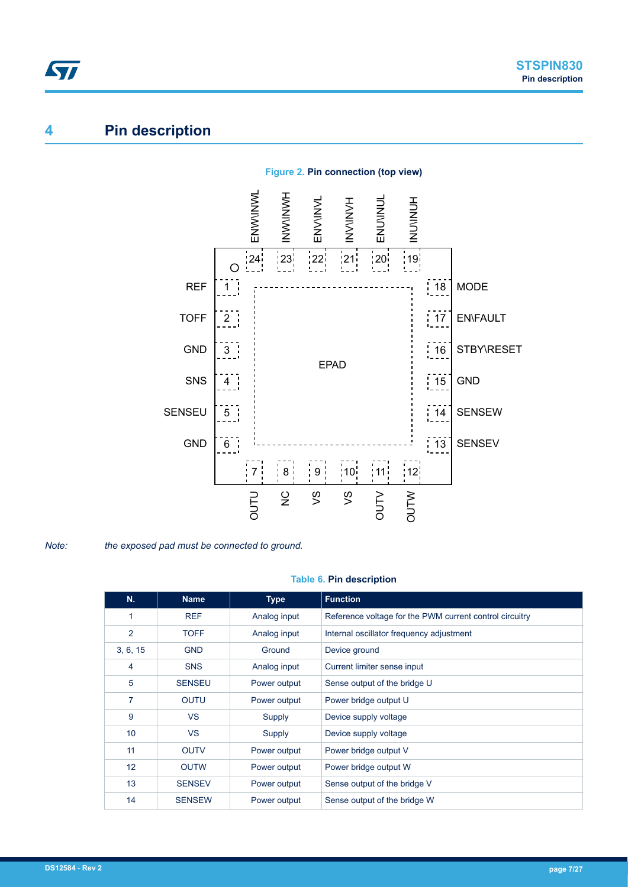# **4 Pin description**

<span id="page-6-0"></span>ST



#### **Figure 2. Pin connection (top view)**

*Note: the exposed pad must be connected to ground.*

#### **Table 6. Pin description**

| N.             | <b>Name</b>   | <b>Type</b>  | <b>Function</b>                                         |  |  |
|----------------|---------------|--------------|---------------------------------------------------------|--|--|
| 1              | <b>REF</b>    | Analog input | Reference voltage for the PWM current control circuitry |  |  |
| $\overline{2}$ | <b>TOFF</b>   | Analog input | Internal oscillator frequency adjustment                |  |  |
| 3, 6, 15       | <b>GND</b>    | Ground       | Device ground                                           |  |  |
| 4              | <b>SNS</b>    | Analog input | Current limiter sense input                             |  |  |
| 5              | <b>SENSEU</b> | Power output | Sense output of the bridge U                            |  |  |
| 7              | <b>OUTU</b>   | Power output | Power bridge output U                                   |  |  |
| 9              | <b>VS</b>     | Supply       | Device supply voltage                                   |  |  |
| 10             | <b>VS</b>     | Supply       | Device supply voltage                                   |  |  |
| 11             | <b>OUTV</b>   | Power output | Power bridge output V                                   |  |  |
| 12             | <b>OUTW</b>   | Power output | Power bridge output W                                   |  |  |
| 13             | <b>SENSEV</b> | Power output | Sense output of the bridge V                            |  |  |
| 14             | <b>SENSEW</b> | Power output | Sense output of the bridge W                            |  |  |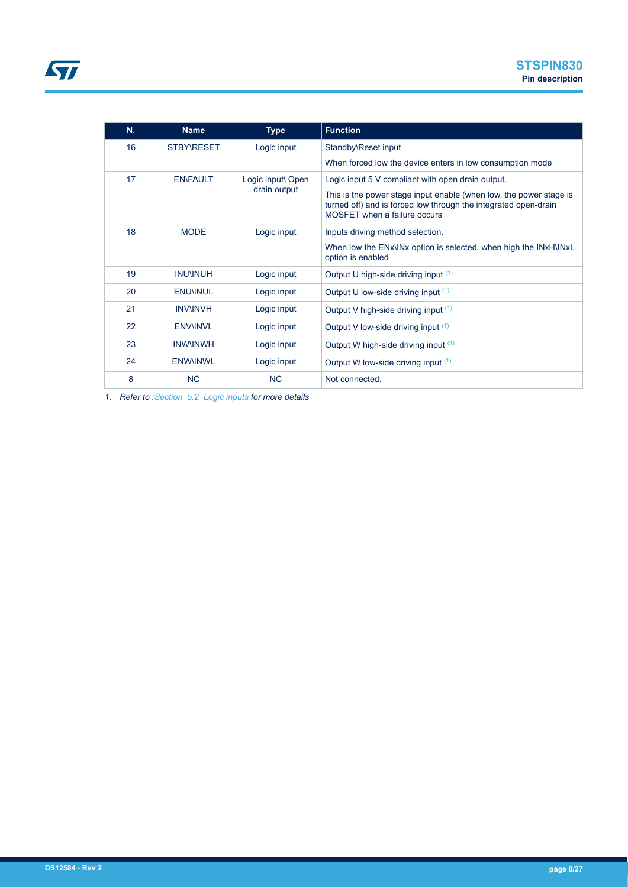| N. | <b>Name</b>       | <b>Type</b>                       | <b>Function</b>                                                                                                                                                                                                            |  |
|----|-------------------|-----------------------------------|----------------------------------------------------------------------------------------------------------------------------------------------------------------------------------------------------------------------------|--|
| 16 | <b>STBY\RESET</b> | Logic input                       | Standby\Reset input                                                                                                                                                                                                        |  |
|    |                   |                                   | When forced low the device enters in low consumption mode                                                                                                                                                                  |  |
| 17 | <b>EN\FAULT</b>   | Logic input\ Open<br>drain output | Logic input 5 V compliant with open drain output.<br>This is the power stage input enable (when low, the power stage is<br>turned off) and is forced low through the integrated open-drain<br>MOSFET when a failure occurs |  |
| 18 | <b>MODE</b>       | Logic input                       | Inputs driving method selection.<br>When low the ENx\INx option is selected, when high the INxH\INxL<br>option is enabled                                                                                                  |  |
| 19 | <b>INU\INUH</b>   | Logic input                       | Output U high-side driving input (1)                                                                                                                                                                                       |  |
| 20 | <b>ENUVINUL</b>   | Logic input                       | Output U low-side driving input (1)                                                                                                                                                                                        |  |
| 21 | <b>INVINVH</b>    | Logic input                       | Output V high-side driving input (1)                                                                                                                                                                                       |  |
| 22 | <b>ENVINVL</b>    | Logic input                       | Output V low-side driving input (1)                                                                                                                                                                                        |  |
| 23 | <b>INWINWH</b>    | Logic input                       | Output W high-side driving input (1)                                                                                                                                                                                       |  |
| 24 | <b>ENWINWL</b>    | Logic input                       | Output W low-side driving input (1)                                                                                                                                                                                        |  |
| 8  | <b>NC</b>         | <b>NC</b>                         | Not connected.                                                                                                                                                                                                             |  |

*1. Refer to [:Section 5.2 Logic inputs](#page-8-0) for more details*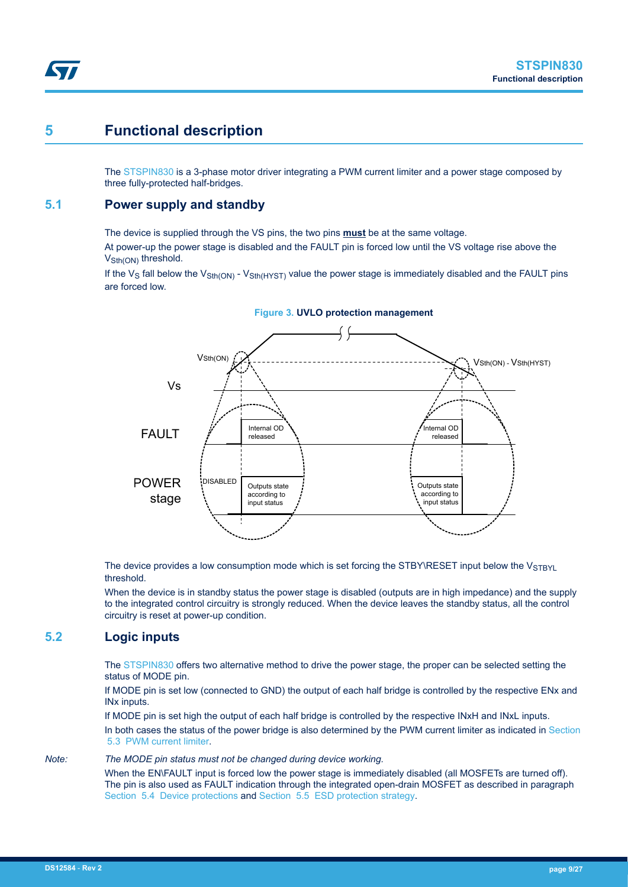# **5 Functional description**

<span id="page-8-0"></span>57

The [STSPIN830](https://www.st.com/en/product/stspin830) is a 3-phase motor driver integrating a PWM current limiter and a power stage composed by three fully-protected half-bridges.

#### **5.1 Power supply and standby**

The device is supplied through the VS pins, the two pins **must** be at the same voltage.

At power-up the power stage is disabled and the FAULT pin is forced low until the VS voltage rise above the V<sub>Sth(ON)</sub> threshold.

If the V<sub>S</sub> fall below the V<sub>Sth(ON)</sub> - V<sub>Sth(HYST)</sub> value the power stage is immediately disabled and the FAULT pins are forced low.



The device provides a low consumption mode which is set forcing the STBY\RESET input below the  $V_{STBYL}$ threshold.

When the device is in standby status the power stage is disabled (outputs are in high impedance) and the supply to the integrated control circuitry is strongly reduced. When the device leaves the standby status, all the control circuitry is reset at power-up condition.

### **5.2 Logic inputs**

The [STSPIN830](https://www.st.com/en/product/stspin830) offers two alternative method to drive the power stage, the proper can be selected setting the status of MODE pin.

If MODE pin is set low (connected to GND) the output of each half bridge is controlled by the respective ENx and INx inputs.

If MODE pin is set high the output of each half bridge is controlled by the respective INxH and INxL inputs.

In both cases the status of the power bridge is also determined by the PWM current limiter as indicated in [Section](#page-9-0)  [5.3 PWM current limiter](#page-9-0).

#### *Note: The MODE pin status must not be changed during device working.*

When the EN\FAULT input is forced low the power stage is immediately disabled (all MOSFETs are turned off). The pin is also used as FAULT indication through the integrated open-drain MOSFET as described in paragraph [Section 5.4 Device protections](#page-11-0) and [Section 5.5 ESD protection strategy](#page-14-0).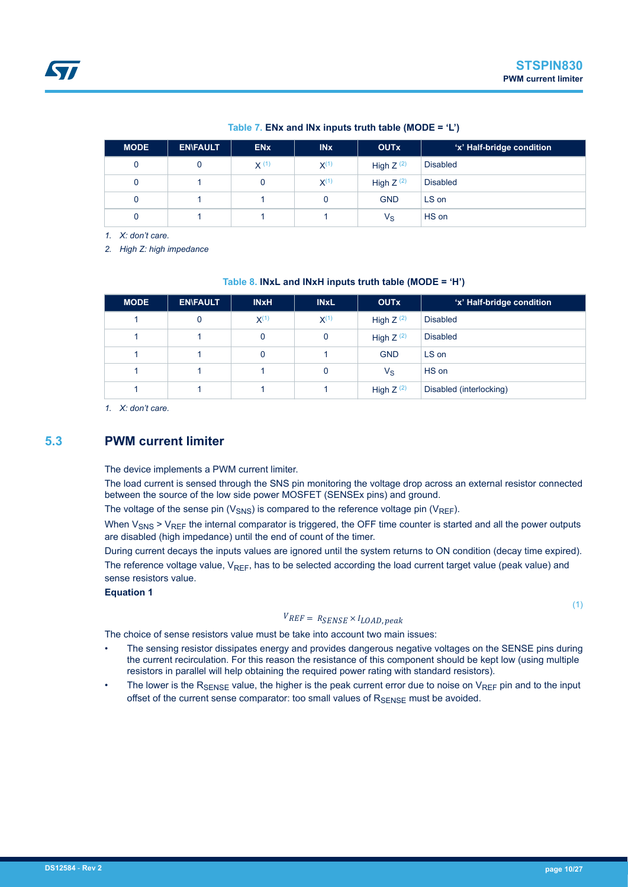#### **Table 7. ENx and INx inputs truth table (MODE = 'L')**

<span id="page-9-0"></span>

| <b>MODE</b> | <b>EN\FAULT</b> | <b>EN<sub>x</sub></b> | <b>IN<sub>x</sub></b> | <b>OUTx</b>    | 'x' Half-bridge condition |
|-------------|-----------------|-----------------------|-----------------------|----------------|---------------------------|
| 0           |                 | X(1)                  | $X^{(1)}$             | High $Z^{(2)}$ | Disabled                  |
| 0           |                 | 0                     | $X^{(1)}$             | High $Z^{(2)}$ | <b>Disabled</b>           |
| 0           |                 |                       | 0                     | <b>GND</b>     | LS on                     |
| 0           |                 |                       |                       | $V_{\rm S}$    | HS on                     |

*1. X: don't care.*

*2. High Z: high impedance*

#### **Table 8. INxL and INxH inputs truth table (MODE = 'H')**

| <b>MODE</b> | <b>EN\FAULT</b> | <b>INxH</b> | <b>INxL</b> | <b>OUTx</b>    | 'x' Half-bridge condition |
|-------------|-----------------|-------------|-------------|----------------|---------------------------|
|             | 0               | $X^{(1)}$   | $X^{(1)}$   | High $Z^{(2)}$ | <b>Disabled</b>           |
|             |                 | 0           | 0           | High $Z^{(2)}$ | <b>Disabled</b>           |
|             |                 | 0           |             | <b>GND</b>     | LS on                     |
|             |                 |             | 0           | $V_{\rm S}$    | HS on                     |
|             |                 |             |             | High $Z^{(2)}$ | Disabled (interlocking)   |

*1. X: don't care.*

#### **5.3 PWM current limiter**

The device implements a PWM current limiter.

The load current is sensed through the SNS pin monitoring the voltage drop across an external resistor connected between the source of the low side power MOSFET (SENSEx pins) and ground.

The voltage of the sense pin ( $V_{\text{SNS}}$ ) is compared to the reference voltage pin ( $V_{\text{REF}}$ ).

When  $V_{SNS}$  >  $V_{REF}$  the internal comparator is triggered, the OFF time counter is started and all the power outputs are disabled (high impedance) until the end of count of the timer.

During current decays the inputs values are ignored until the system returns to ON condition (decay time expired). The reference voltage value,  $V_{REF}$ , has to be selected according the load current target value (peak value) and sense resistors value.

#### **Equation 1**

#### $V_{REF} = R_{SENSE} \times I_{LOAD, peak}$

(1)

The choice of sense resistors value must be take into account two main issues:

- The sensing resistor dissipates energy and provides dangerous negative voltages on the SENSE pins during the current recirculation. For this reason the resistance of this component should be kept low (using multiple resistors in parallel will help obtaining the required power rating with standard resistors).
- The lower is the  $R_{\text{SFRSE}}$  value, the higher is the peak current error due to noise on  $V_{\text{REF}}$  pin and to the input offset of the current sense comparator: too small values of  $R_{\text{SENSE}}$  must be avoided.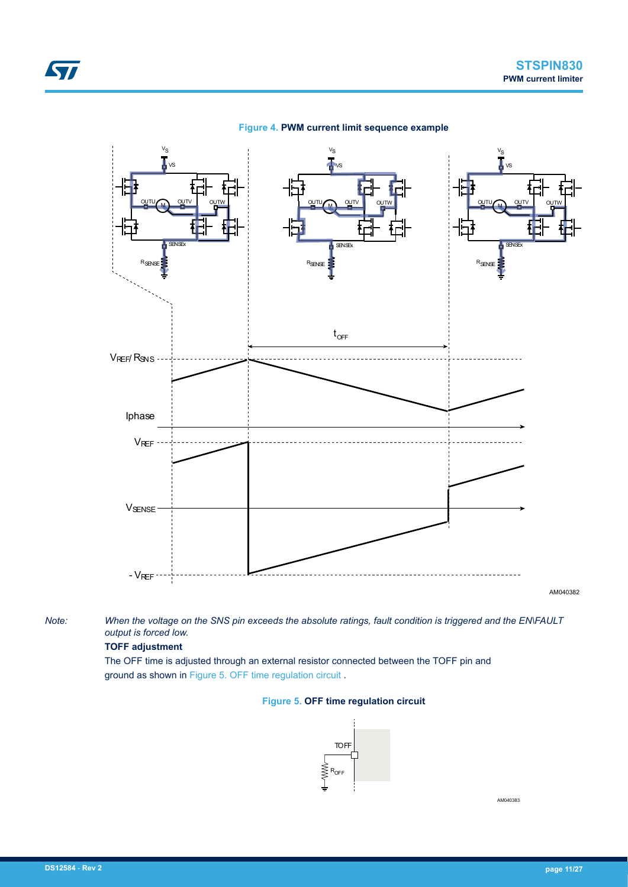

*Note: When the voltage on the SNS pin exceeds the absolute ratings, fault condition is triggered and the EN\FAULT output is forced low.*

#### **TOFF adjustment**

The OFF time is adjusted through an external resistor connected between the TOFF pin and ground as shown in Figure 5. OFF time regulation circuit .

#### **Figure 5. OFF time regulation circuit**



AM040383

<span id="page-10-0"></span>ST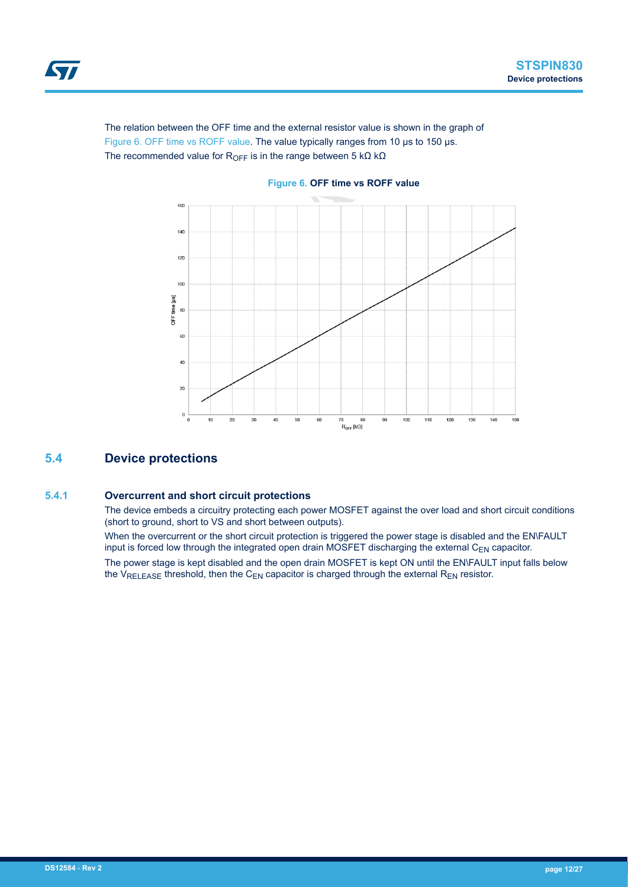<span id="page-11-0"></span>

The relation between the OFF time and the external resistor value is shown in the graph of Figure 6. OFF time vs ROFF value. The value typically ranges from 10 μs to 150 μs. The recommended value for R<sub>OFF</sub> is in the range between 5 kΩ kΩ



#### **Figure 6. OFF time vs ROFF value**

#### **5.4 Device protections**

#### **5.4.1 Overcurrent and short circuit protections**

The device embeds a circuitry protecting each power MOSFET against the over load and short circuit conditions (short to ground, short to VS and short between outputs).

When the overcurrent or the short circuit protection is triggered the power stage is disabled and the EN\FAULT input is forced low through the integrated open drain MOSFET discharging the external  $C_{EN}$  capacitor.

The power stage is kept disabled and the open drain MOSFET is kept ON until the EN\FAULT input falls below the  $V_{RELEASE}$  threshold, then the C<sub>EN</sub> capacitor is charged through the external R<sub>EN</sub> resistor.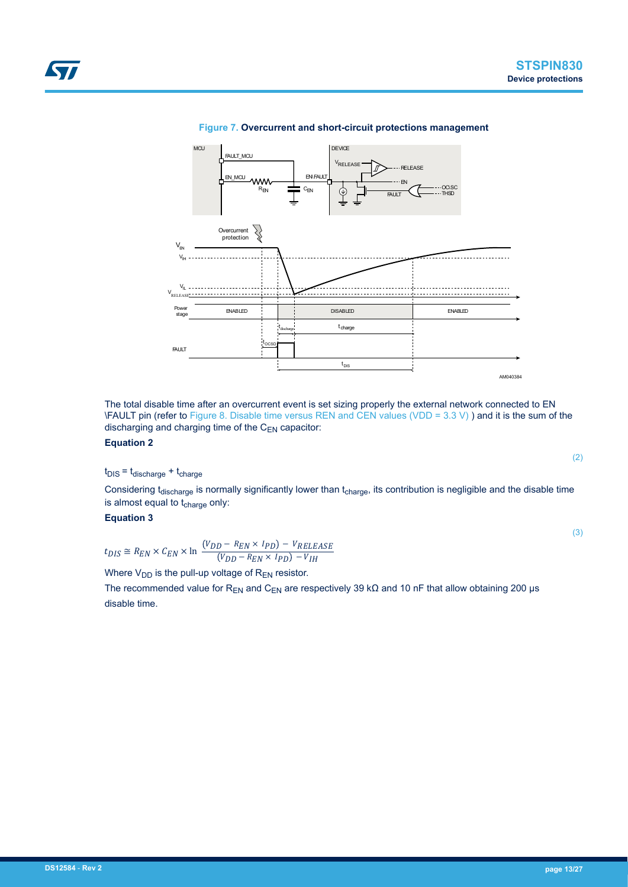#### **Figure 7. Overcurrent and short-circuit protections management DEVICE**

The total disable time after an overcurrent event is set sizing properly the external network connected to EN \FAULT pin (refer to [Figure 8. Disable time versus REN and CEN values \(VDD = 3.3 V\)](#page-13-0) ) and it is the sum of the discharging and charging time of the  $C_{EN}$  capacitor:

#### **Equation 2**

<span id="page-12-0"></span>57

 $t_{DIS} = t_{discharge} + t_{charge}$ 

Considering t<sub>discharge</sub> is normally significantly lower than t<sub>charge</sub>, its contribution is negligible and the disable time is almost equal to t<sub>charge</sub> only:

**Equation 3**

 $t_{DIS} \cong R_{EN} \times C_{EN} \times \ln \frac{(V_{DD} - R_{EN} \times I_{PD}) - V_{RELEASE}}{(V_{DD} - R_{EN} \times I_{PD}) - V_{IH}}$  $(V_{DD} - R_{EN} \times I_{PD}) - V_{IH}$ 

Where  $V_{DD}$  is the pull-up voltage of  $R_{EN}$  resistor.

The recommended value for R<sub>EN</sub> and C<sub>EN</sub> are respectively 39 kΩ and 10 nF that allow obtaining 200 µs disable time.



(2)

(3)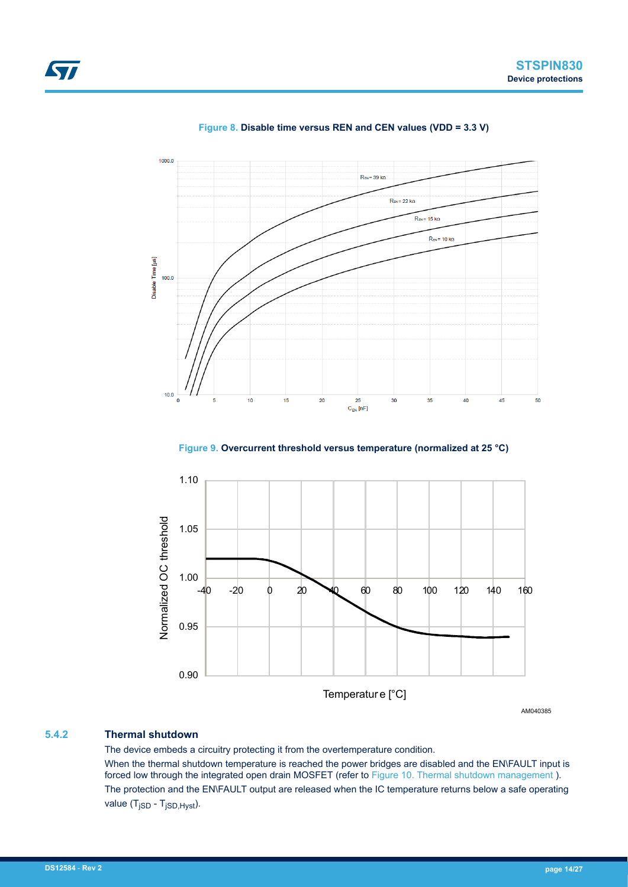<span id="page-13-0"></span>

#### **Figure 8. Disable time versus REN and CEN values (VDD = 3.3 V)**





AM040385

#### **5.4.2 Thermal shutdown**

The device embeds a circuitry protecting it from the overtemperature condition. When the thermal shutdown temperature is reached the power bridges are disabled and the EN\FAULT input is forced low through the integrated open drain MOSFET (refer to [Figure 10. Thermal shutdown management](#page-14-0) ). The protection and the EN\FAULT output are released when the IC temperature returns below a safe operating value (T<sub>jSD</sub> - T<sub>jSD, Hyst</sub>).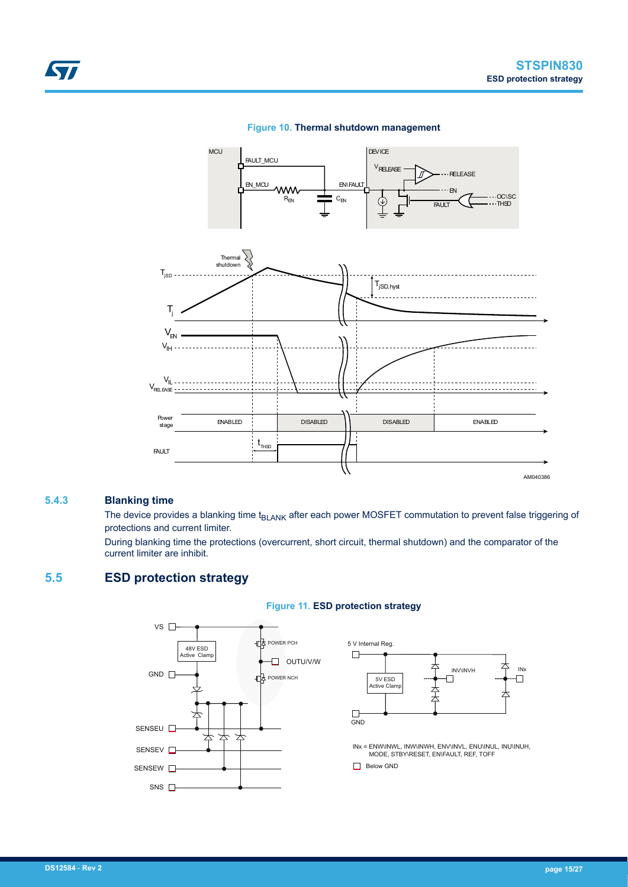AM040386

<span id="page-14-0"></span>



#### **Figure 10. Thermal shutdown management**

#### **5.4.3 Blanking time**

The device provides a blanking time t<sub>BLANK</sub> after each power MOSFET commutation to prevent false triggering of protections and current limiter.

During blanking time the protections (overcurrent, short circuit, thermal shutdown) and the comparator of the current limiter are inhibit.

t THSD

#### **5.5 ESD protection strategy**

**FAULT** 



#### **Figure 11. ESD protection strategy**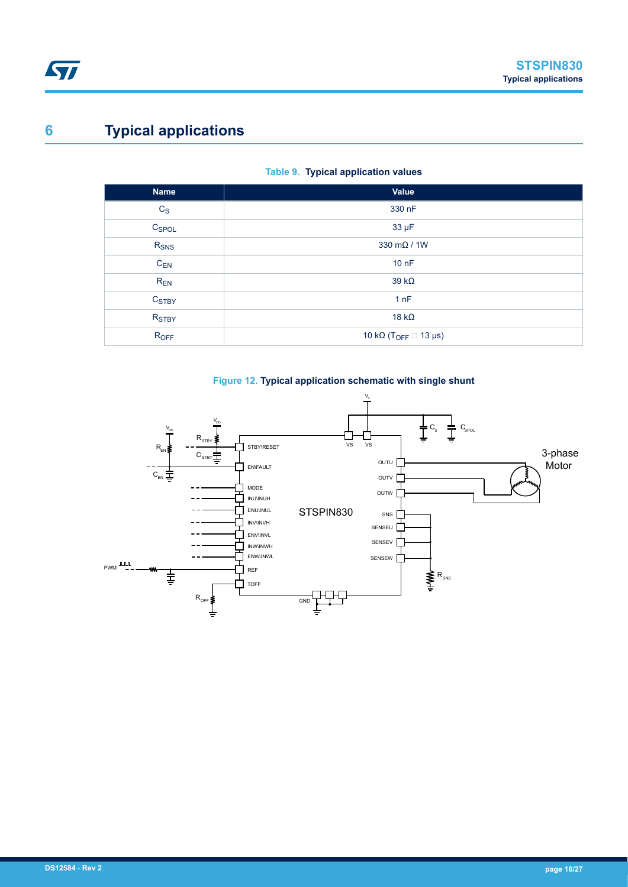# <span id="page-15-0"></span>**6 Typical applications**

#### **Table 9. Typical application values**

| <b>Name</b>       | Value                                         |
|-------------------|-----------------------------------------------|
| $C_S$             | 330 nF                                        |
| C <sub>SPOL</sub> | 33 µF                                         |
| R <sub>SNS</sub>  | 330 mΩ / 1W                                   |
| $C_{EN}$          | 10 nF                                         |
| $R_{EN}$          | $39 k\Omega$                                  |
| C <sub>STBY</sub> | 1nF                                           |
| R <sub>STBY</sub> | 18 $k\Omega$                                  |
| ROFF              | 10 k $\Omega$ (T <sub>OFF</sub> $\Box$ 13 µs) |



#### **Figure 12. Typical application schematic with single shunt**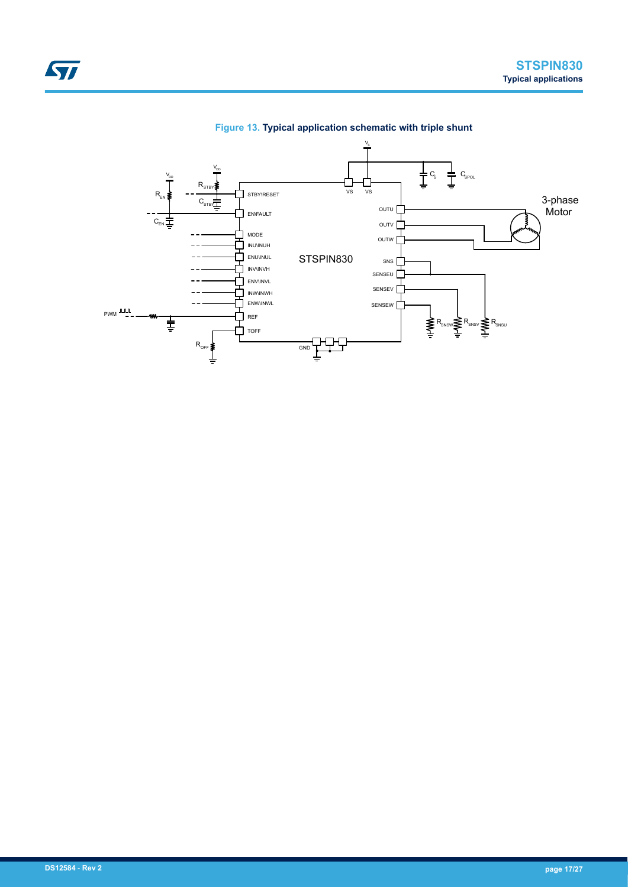<span id="page-16-0"></span>

#### **Figure 13. Typical application schematic with triple shunt**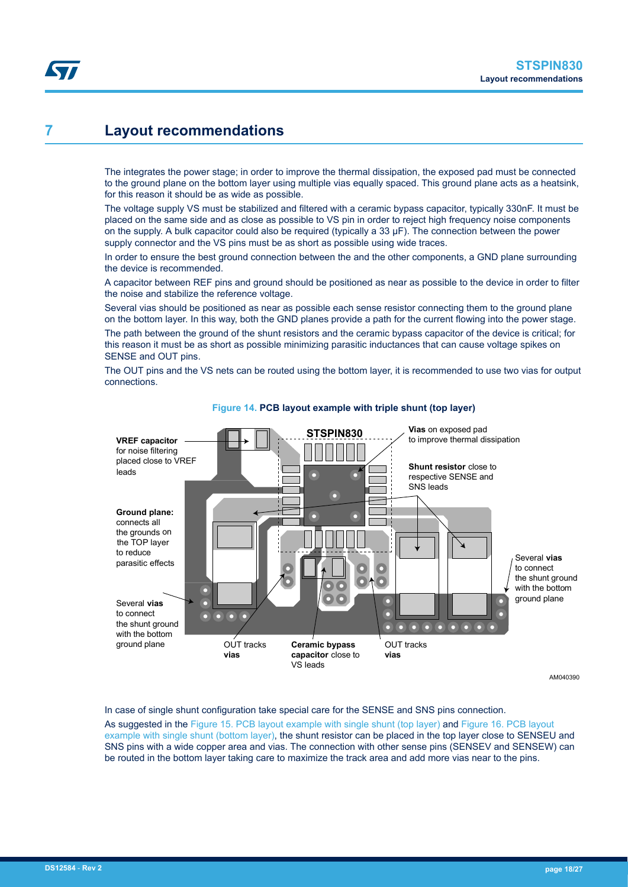# <span id="page-17-0"></span>**7 Layout recommendations**

The integrates the power stage; in order to improve the thermal dissipation, the exposed pad must be connected to the ground plane on the bottom layer using multiple vias equally spaced. This ground plane acts as a heatsink, for this reason it should be as wide as possible.

The voltage supply VS must be stabilized and filtered with a ceramic bypass capacitor, typically 330nF. It must be placed on the same side and as close as possible to VS pin in order to reject high frequency noise components on the supply. A bulk capacitor could also be required (typically a 33 μF). The connection between the power supply connector and the VS pins must be as short as possible using wide traces.

In order to ensure the best ground connection between the and the other components, a GND plane surrounding the device is recommended.

A capacitor between REF pins and ground should be positioned as near as possible to the device in order to filter the noise and stabilize the reference voltage.

Several vias should be positioned as near as possible each sense resistor connecting them to the ground plane on the bottom layer. In this way, both the GND planes provide a path for the current flowing into the power stage.

The path between the ground of the shunt resistors and the ceramic bypass capacitor of the device is critical; for this reason it must be as short as possible minimizing parasitic inductances that can cause voltage spikes on SENSE and OUT pins.

The OUT pins and the VS nets can be routed using the bottom layer, it is recommended to use two vias for output connections.



#### **Figure 14. PCB layout example with triple shunt (top layer)**

AM040390

In case of single shunt configuration take special care for the SENSE and SNS pins connection.

As suggested in the [Figure 15. PCB layout example with single shunt \(top layer\)](#page-18-0) and [Figure 16. PCB layout](#page-18-0) [example with single shunt \(bottom layer\)](#page-18-0), the shunt resistor can be placed in the top layer close to SENSEU and SNS pins with a wide copper area and vias. The connection with other sense pins (SENSEV and SENSEW) can be routed in the bottom layer taking care to maximize the track area and add more vias near to the pins.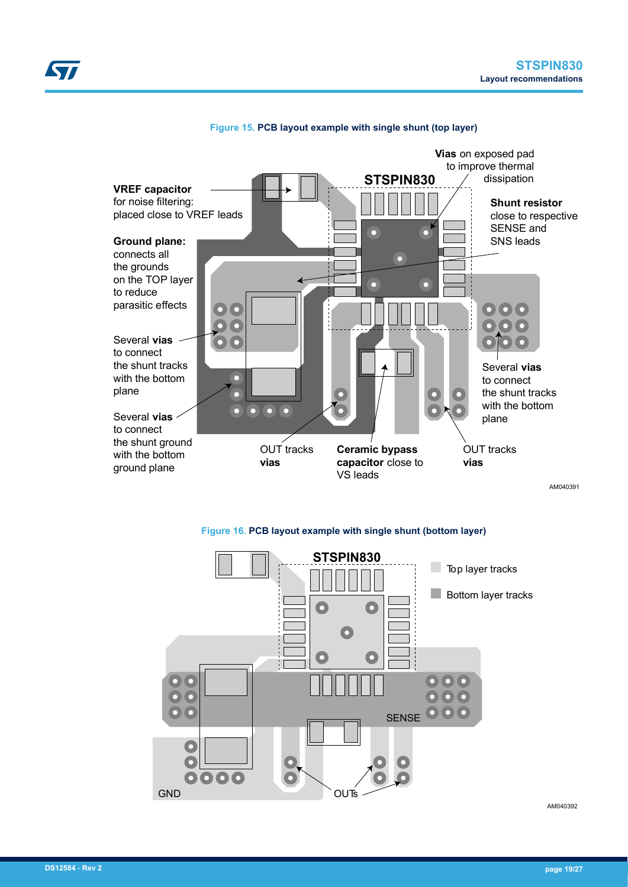<span id="page-18-0"></span>

#### **Figure 15. PCB layout example with single shunt (top layer)**

**Figure 16. PCB layout example with single shunt (bottom layer)**



AM040392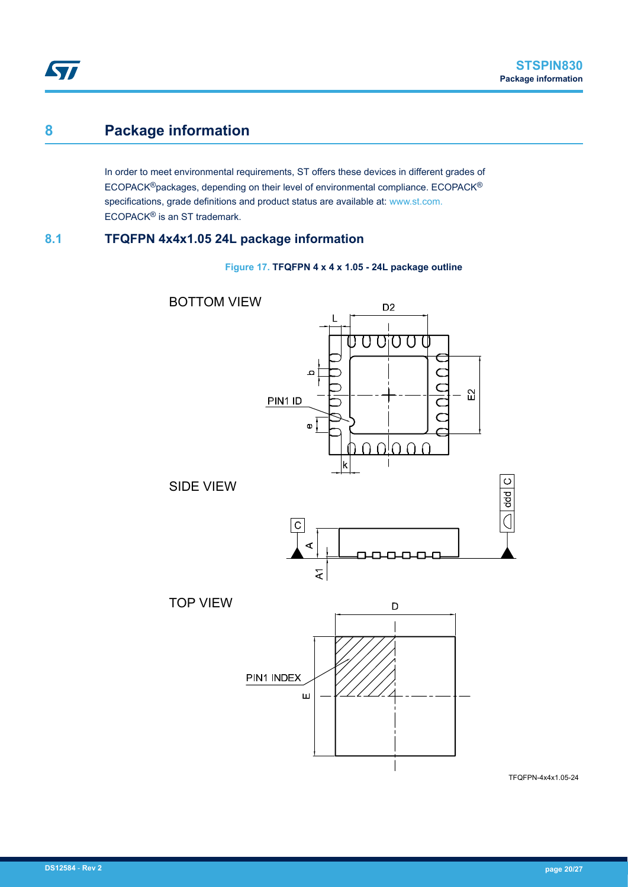# **8 Package information**

<span id="page-19-0"></span>ST

In order to meet environmental requirements, ST offers these devices in different grades of ECOPACK®packages, depending on their level of environmental compliance. ECOPACK® specifications, grade definitions and product status are available at: www.st.com. ECOPACK® is an ST trademark.

## **8.1 TFQFPN 4x4x1.05 24L package information**

**Figure 17. TFQFPN 4 x 4 x 1.05 - 24L package outline**



TFQFPN-4x4x1.05-24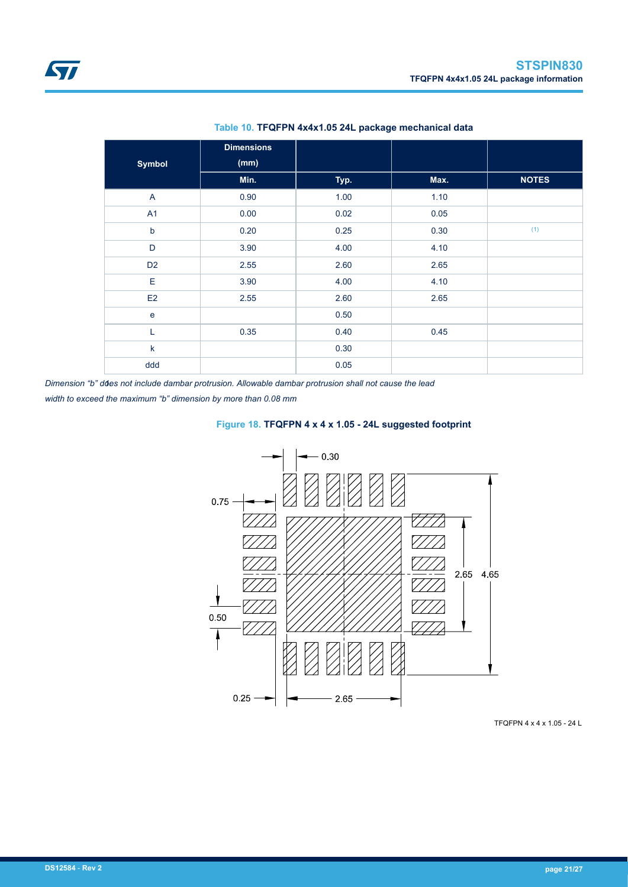<span id="page-20-0"></span>

| <b>Symbol</b>  | <b>Dimensions</b><br>(mm) |      |      |              |
|----------------|---------------------------|------|------|--------------|
|                | Min.                      | Typ. | Max. | <b>NOTES</b> |
| $\overline{A}$ | 0.90                      | 1.00 | 1.10 |              |
| A <sub>1</sub> | 0.00                      | 0.02 | 0.05 |              |
| $\mathsf b$    | 0.20                      | 0.25 | 0.30 | (1)          |
| D              | 3.90                      | 4.00 | 4.10 |              |
| D <sub>2</sub> | 2.55                      | 2.60 | 2.65 |              |
| E              | 3.90                      | 4.00 | 4.10 |              |
| E2             | 2.55                      | 2.60 | 2.65 |              |
| $\mathbf e$    |                           | 0.50 |      |              |
| Г              | 0.35                      | 0.40 | 0.45 |              |
| k              |                           | 0.30 |      |              |
| ddd            |                           | 0.05 |      |              |

#### **Table 10. TFQFPN 4x4x1.05 24L package mechanical data**

*1.Dimension "b" does not include dambar protrusion. Allowable dambar protrusion shall not cause the lead*

*width to exceed the maximum "b" dimension by more than 0.08 mm*





TFQFPN 4 x 4 x 1.05 - 24 L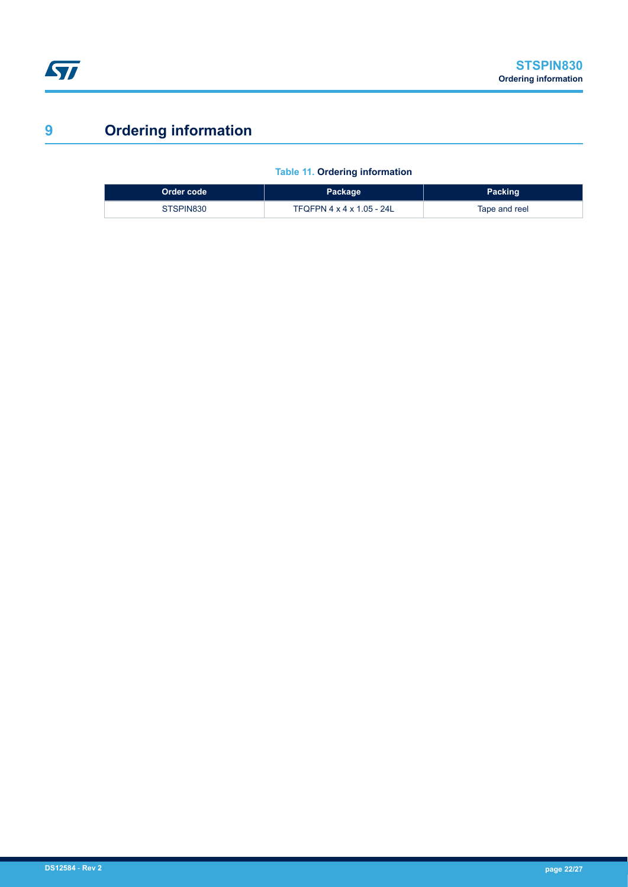# <span id="page-21-0"></span>**9 Ordering information**

|  | <b>Table 11. Ordering information</b> |
|--|---------------------------------------|

| Order code | Package                   | <b>Packing</b> |
|------------|---------------------------|----------------|
| STSPIN830  | TFQFPN 4 x 4 x 1.05 - 24L | Tape and reel  |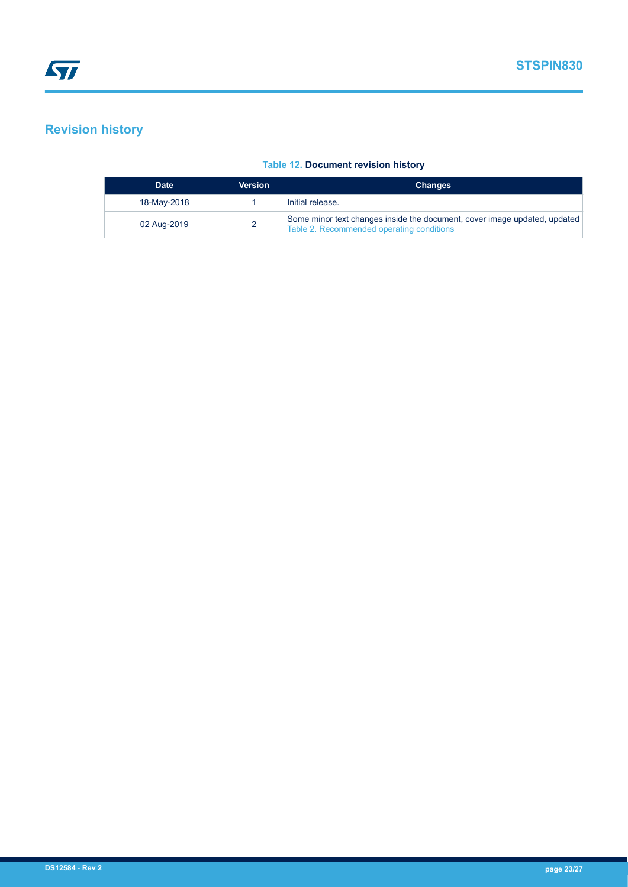# <span id="page-22-0"></span>**Revision history**

#### **Table 12. Document revision history**

| <b>Date</b> | <b>Version</b> | <b>Changes</b>                                                                                                         |
|-------------|----------------|------------------------------------------------------------------------------------------------------------------------|
| 18-May-2018 |                | Initial release.                                                                                                       |
| 02 Aug-2019 |                | Some minor text changes inside the document, cover image updated, updated<br>Table 2. Recommended operating conditions |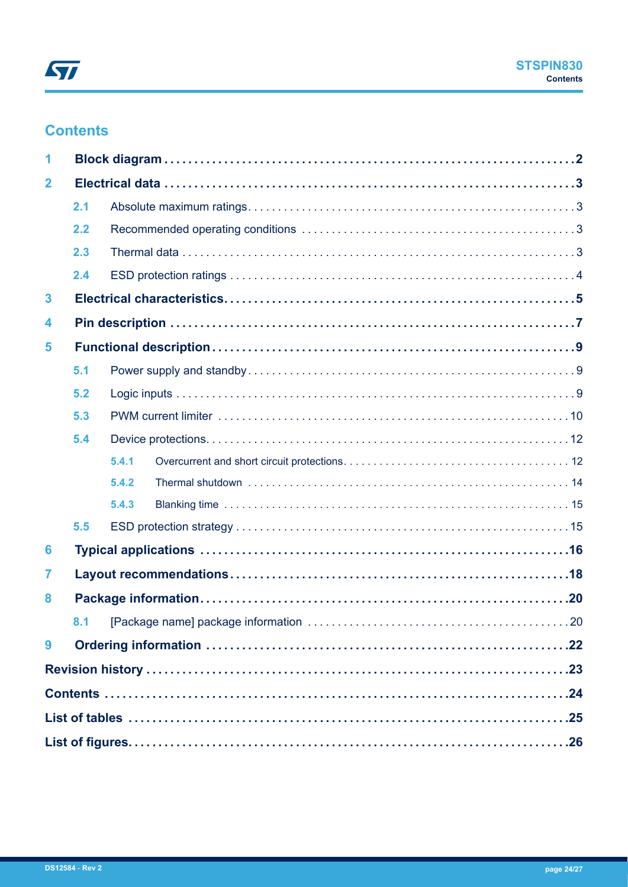# **Contents**

| $\mathbf{2}$ |     |       |  |  |  |
|--------------|-----|-------|--|--|--|
|              | 2.1 |       |  |  |  |
|              | 2.2 |       |  |  |  |
|              | 2.3 |       |  |  |  |
|              | 2.4 |       |  |  |  |
| 3            |     |       |  |  |  |
| 4            |     |       |  |  |  |
| 5            |     |       |  |  |  |
| 5.1          |     |       |  |  |  |
|              | 5.2 |       |  |  |  |
|              | 5.3 |       |  |  |  |
| 5.4          |     |       |  |  |  |
|              |     | 5.4.1 |  |  |  |
|              |     | 5.4.2 |  |  |  |
|              |     | 5.4.3 |  |  |  |
|              | 5.5 |       |  |  |  |
| 6            |     |       |  |  |  |
| 7            |     |       |  |  |  |
| 8            |     |       |  |  |  |
|              |     |       |  |  |  |
| 9            |     |       |  |  |  |
|              |     |       |  |  |  |
|              |     |       |  |  |  |
|              |     |       |  |  |  |
|              |     |       |  |  |  |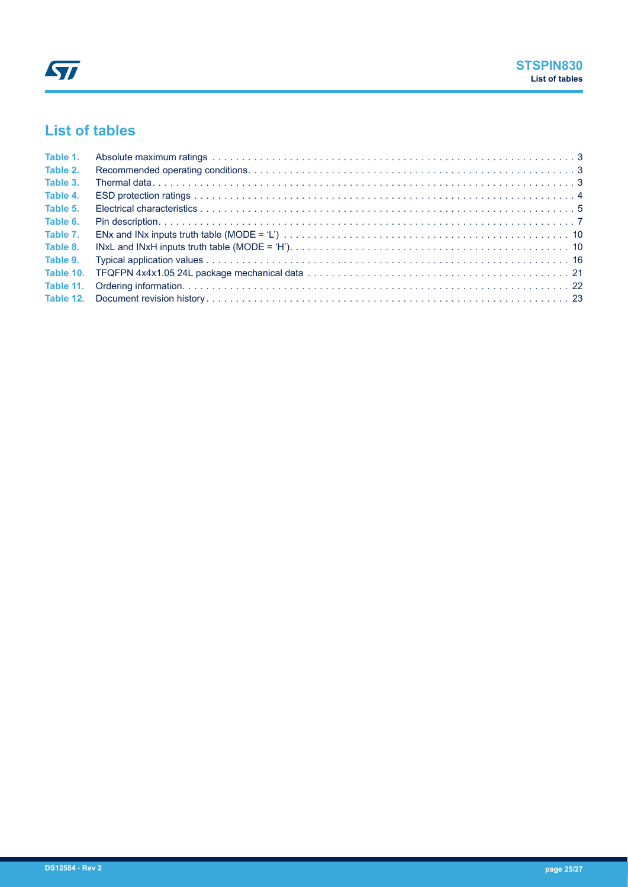# <span id="page-24-0"></span>**List of tables**

| Table 1. |  |
|----------|--|
| Table 2. |  |
| Table 3. |  |
| Table 4. |  |
| Table 5. |  |
| Table 6. |  |
| Table 7. |  |
| Table 8. |  |
| Table 9. |  |
|          |  |
|          |  |
|          |  |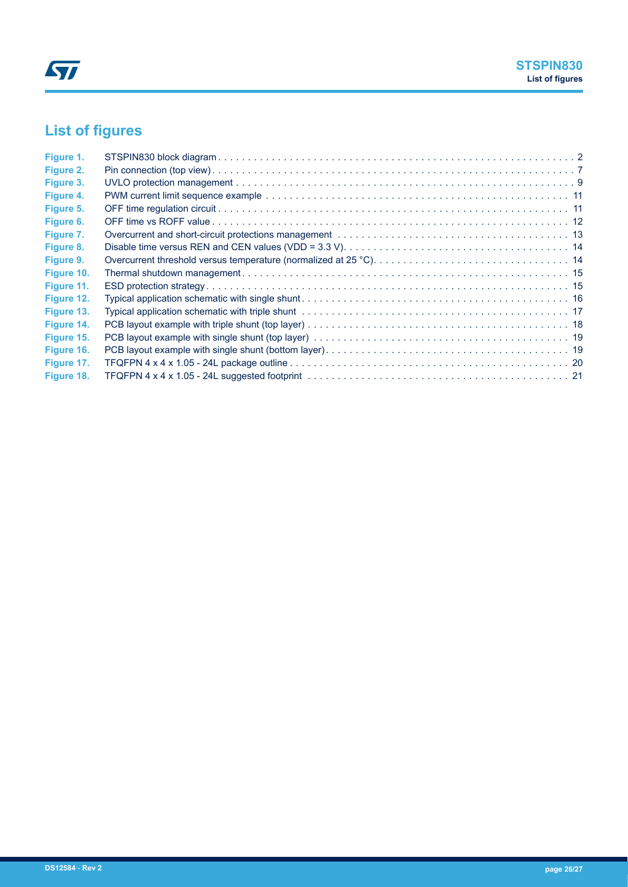# <span id="page-25-0"></span>**List of figures**

| Figure 1.  |  |
|------------|--|
| Figure 2.  |  |
| Figure 3.  |  |
| Figure 4.  |  |
| Figure 5.  |  |
| Figure 6.  |  |
| Figure 7.  |  |
| Figure 8.  |  |
| Figure 9.  |  |
| Figure 10. |  |
| Figure 11. |  |
| Figure 12. |  |
| Figure 13. |  |
| Figure 14. |  |
| Figure 15. |  |
| Figure 16. |  |
| Figure 17. |  |
| Figure 18. |  |